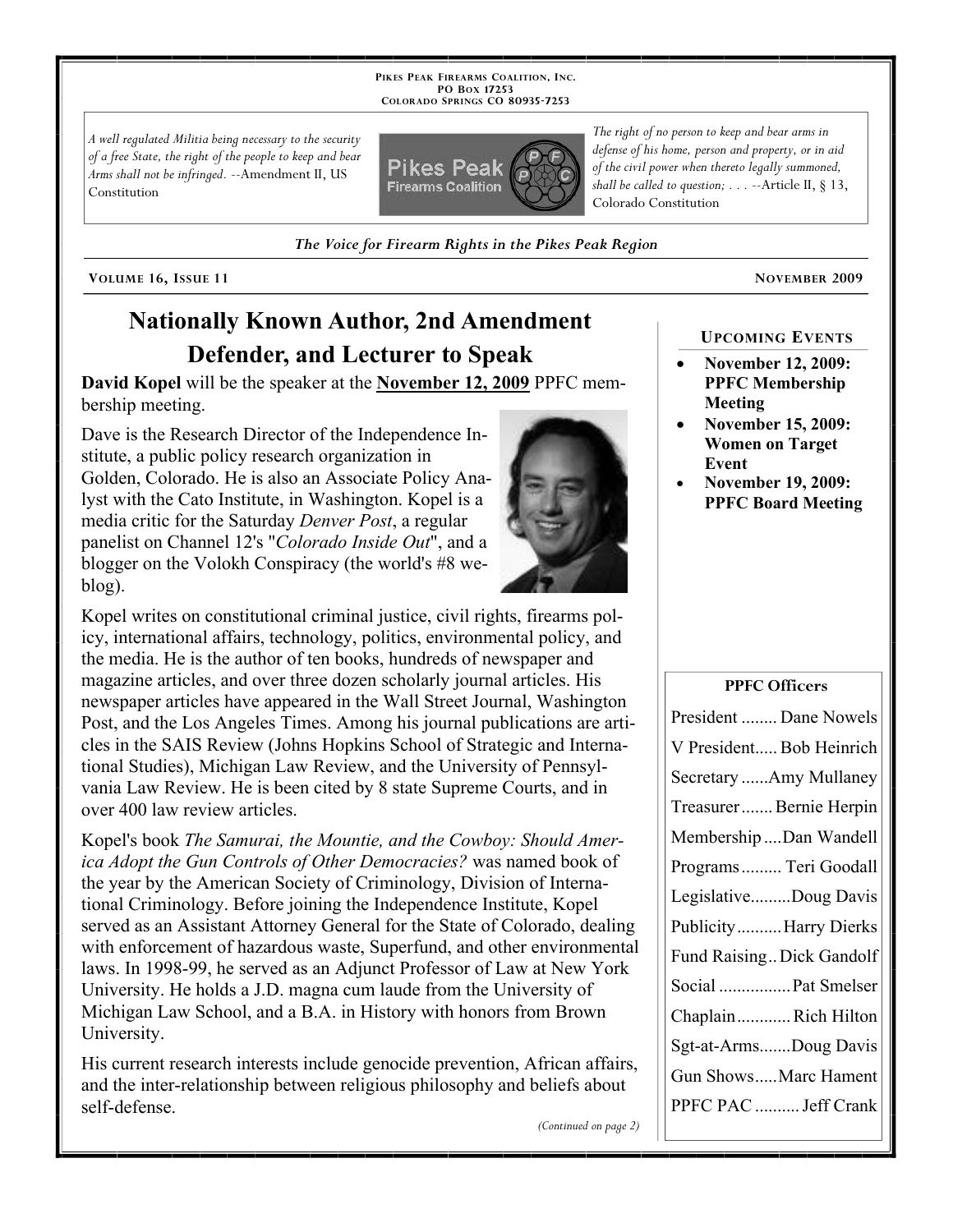**PIKES PEAK FIREARMS COALITION, INC. PO BOX 17253 COLORADO SPRINGS CO 80935 -7253**

*A well regulated Militia being necessary to the security of a free State, the right of the people to keep and bear Arms shall not be infringed.* --Amendment II, US Constitution



*The Voice for Firearm Rights in the Pikes Peak Region*

**VOLUME 16, ISSUE 11 NOVEMBER 2009**

# **Nationally Known Author, 2nd Amendment Defender, and Lecturer to Speak**

**David Kopel** will be the speaker at the **November 12, 2009** PPFC membership meeting.

Dave is the Research Director of the Independence Institute, a public policy research organization in Golden, Colorado. He is also an Associate Policy Analyst with the Cato Institute, in Washington. Kopel is a media critic for the Saturday *Denver Post*, a regular panelist on Channel 12's "*Colorado Inside Out*", and a blogger on the Volokh Conspiracy (the world's #8 weblog).



Kopel's book *The Samurai, the Mountie, and the Cowboy: Should America Adopt the Gun Controls of Other Democracies?* was named book of the year by the American Society of Criminology, Division of International Criminology. Before joining the Independence Institute, Kopel served as an Assistant Attorney General for the State of Colorado, dealing with enforcement of hazardous waste, Superfund, and other environmental laws. In 1998-99, he served as an Adjunct Professor of Law at New York University. He holds a J.D. magna cum laude from the University of Michigan Law School, and a B.A. in History with honors from Brown University.

His current research interests include genocide prevention, African affairs, and the inter-relationship between religious philosophy and beliefs about self-defense.

*The right of no person to keep and bear arms in defense of his home, person and property, or in aid of the civil power when thereto legally summoned, shall be called to question; . . .* --Article II, § 13, Colorado Constitution

#### **UPCOMING EVENTS**

- **November 12, 2009: PPFC Membership Meeting**
- **November 15, 2009: Women on Target Event**
- **November 19, 2009: PPFC Board Meeting**

**PPFC Officers**

| President  Dane Nowels    |
|---------------------------|
| V President Bob Heinrich  |
| Secretary Amy Mullaney    |
| Treasurer  Bernie Herpin  |
| Membership Dan Wandell    |
| Programs  Teri Goodall    |
| LegislativeDoug Davis     |
| PublicityHarry Dierks     |
| Fund Raising Dick Gandolf |
| Social  Pat Smelser       |
| ChaplainRich Hilton       |
| Sgt-at-ArmsDoug Davis     |
| Gun ShowsMarc Hament      |
| PPFC PAC  Jeff Crank      |
|                           |

*(Continued on page 2)*